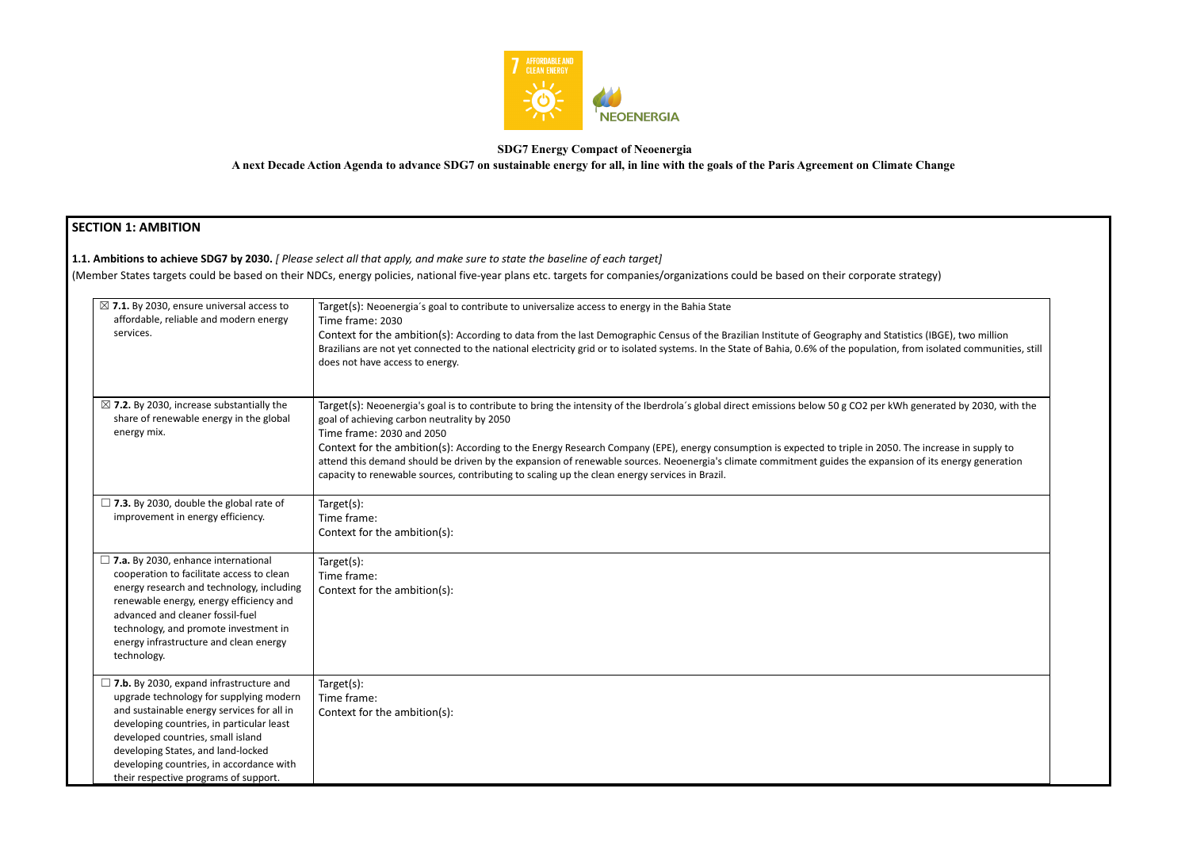

### **SDG7 Energy Compact of Neoenergia**

**A next Decade Action Agenda to advance SDG7 on sustainable energy for all, in line with the goals of the Paris Agreement on Climate Change**

# **SECTION 1: AMBITION**

# **1.1. Ambitions to achieve SDG7 by 2030.** *[ Please select all that apply, and make sure to state the baseline of each target]*

(Member States targets could be based on their NDCs, energy policies, national five-year plans etc. targets for companies/organizations could be based on their corporate strates torporate

| $\boxtimes$ 7.1. By 2030, ensure universal access to<br>affordable, reliable and modern energy<br>services.                                                                                                                                                                                                                                          | Target(s): Neoenergia's goal to contribute to universalize access to energy in the Bahia State<br>Time frame: 2030<br>Context for the ambition(s): According to data from the last Demographic Census of the Brazilian Institute of Geography and Statistics (IBGE), two million<br>Brazilians are not yet connected to the national electricity grid or to isolated systems. In the State of Bahia, 0.6% of the population, from isolated communities, still<br>does not have access to energy.                                                                                                                                                                         |
|------------------------------------------------------------------------------------------------------------------------------------------------------------------------------------------------------------------------------------------------------------------------------------------------------------------------------------------------------|--------------------------------------------------------------------------------------------------------------------------------------------------------------------------------------------------------------------------------------------------------------------------------------------------------------------------------------------------------------------------------------------------------------------------------------------------------------------------------------------------------------------------------------------------------------------------------------------------------------------------------------------------------------------------|
| $\boxtimes$ 7.2. By 2030, increase substantially the<br>share of renewable energy in the global<br>energy mix.                                                                                                                                                                                                                                       | Target(s): Neoenergia's goal is to contribute to bring the intensity of the Iberdrola's global direct emissions below 50 g CO2 per kWh generated by 2030, with the<br>goal of achieving carbon neutrality by 2050<br>Time frame: 2030 and 2050<br>Context for the ambition(s): According to the Energy Research Company (EPE), energy consumption is expected to triple in 2050. The increase in supply to<br>attend this demand should be driven by the expansion of renewable sources. Neoenergia's climate commitment guides the expansion of its energy generation<br>capacity to renewable sources, contributing to scaling up the clean energy services in Brazil. |
| $\Box$ 7.3. By 2030, double the global rate of<br>improvement in energy efficiency.                                                                                                                                                                                                                                                                  | Target(s):<br>Time frame:<br>Context for the ambition(s):                                                                                                                                                                                                                                                                                                                                                                                                                                                                                                                                                                                                                |
| $\Box$ 7.a. By 2030, enhance international<br>cooperation to facilitate access to clean<br>energy research and technology, including<br>renewable energy, energy efficiency and<br>advanced and cleaner fossil-fuel<br>technology, and promote investment in<br>energy infrastructure and clean energy<br>technology.                                | Target(s):<br>Time frame:<br>Context for the ambition(s):                                                                                                                                                                                                                                                                                                                                                                                                                                                                                                                                                                                                                |
| $\Box$ 7.b. By 2030, expand infrastructure and<br>upgrade technology for supplying modern<br>and sustainable energy services for all in<br>developing countries, in particular least<br>developed countries, small island<br>developing States, and land-locked<br>developing countries, in accordance with<br>their respective programs of support. | Target(s):<br>Time frame:<br>Context for the ambition(s):                                                                                                                                                                                                                                                                                                                                                                                                                                                                                                                                                                                                                |

| strategy) |  |
|-----------|--|
|           |  |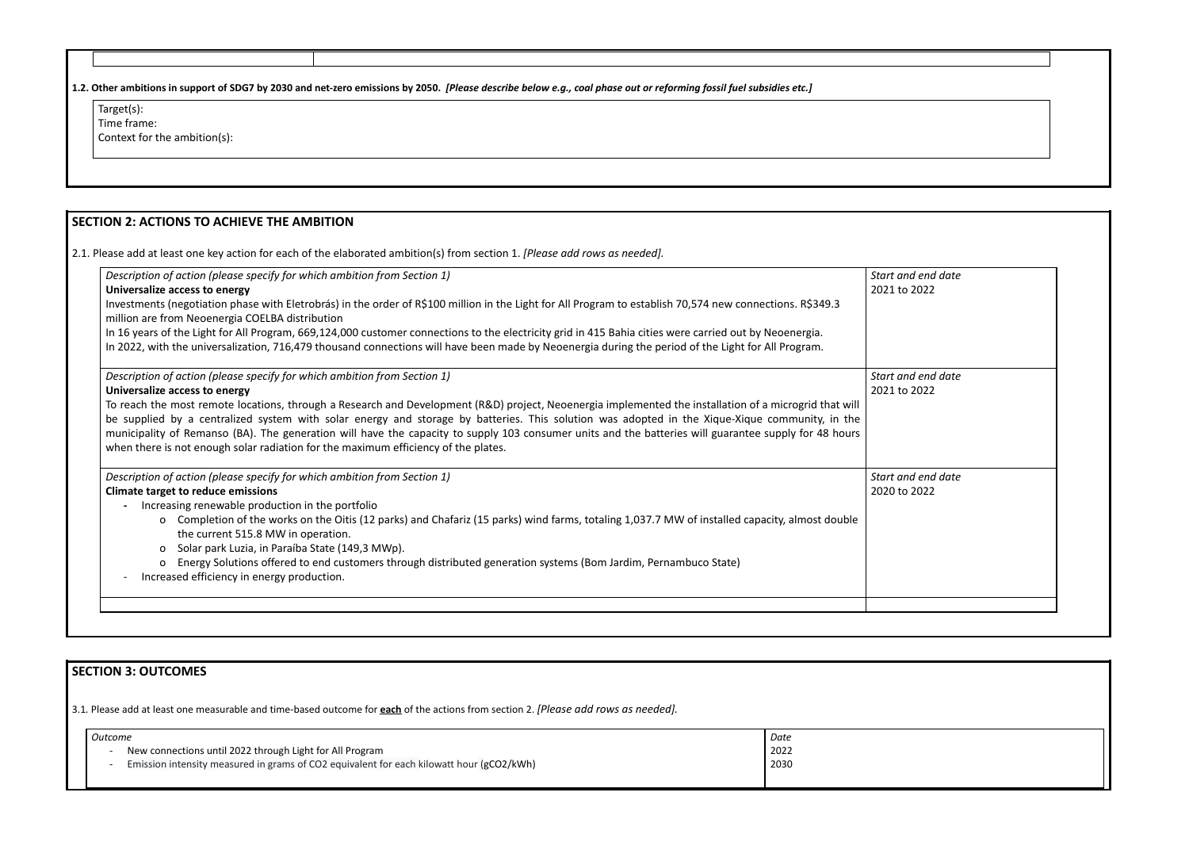| Target(s):<br>Time frame:<br>Context for the ambition(s):                                                                                                                                                                                                                                                                                                                                                                                                                                                                                                                                                                                                            |                                    |
|----------------------------------------------------------------------------------------------------------------------------------------------------------------------------------------------------------------------------------------------------------------------------------------------------------------------------------------------------------------------------------------------------------------------------------------------------------------------------------------------------------------------------------------------------------------------------------------------------------------------------------------------------------------------|------------------------------------|
|                                                                                                                                                                                                                                                                                                                                                                                                                                                                                                                                                                                                                                                                      |                                    |
| <b>SECTION 2: ACTIONS TO ACHIEVE THE AMBITION</b>                                                                                                                                                                                                                                                                                                                                                                                                                                                                                                                                                                                                                    |                                    |
| 2.1. Please add at least one key action for each of the elaborated ambition(s) from section 1. [Please add rows as needed].                                                                                                                                                                                                                                                                                                                                                                                                                                                                                                                                          |                                    |
| Description of action (please specify for which ambition from Section 1)<br>Universalize access to energy<br>Investments (negotiation phase with Eletrobrás) in the order of R\$100 million in the Light for All Program to establish 70,574 new connections. R\$349.3<br>million are from Neoenergia COELBA distribution<br>In 16 years of the Light for All Program, 669,124,000 customer connections to the electricity grid in 415 Bahia cities were carried out by Neoenergia.                                                                                                                                                                                  | Start and end date<br>2021 to 2022 |
| In 2022, with the universalization, 716,479 thousand connections will have been made by Neoenergia during the period of the Light for All Program.                                                                                                                                                                                                                                                                                                                                                                                                                                                                                                                   |                                    |
| Description of action (please specify for which ambition from Section 1)<br>Universalize access to energy<br>To reach the most remote locations, through a Research and Development (R&D) project, Neoenergia implemented the installation of a microgrid that will<br>be supplied by a centralized system with solar energy and storage by batteries. This solution was adopted in the Xique-Xique community, in the<br>municipality of Remanso (BA). The generation will have the capacity to supply 103 consumer units and the batteries will guarantee supply for 48 hours<br>when there is not enough solar radiation for the maximum efficiency of the plates. | Start and end date<br>2021 to 2022 |
| Description of action (please specify for which ambition from Section 1)<br><b>Climate target to reduce emissions</b><br>Increasing renewable production in the portfolio<br>o Completion of the works on the Oitis (12 parks) and Chafariz (15 parks) wind farms, totaling 1,037.7 MW of installed capacity, almost double<br>the current 515.8 MW in operation.<br>Solar park Luzia, in Paraíba State (149,3 MWp).<br>$\Omega$<br>o Energy Solutions offered to end customers through distributed generation systems (Bom Jardim, Pernambuco State)<br>Increased efficiency in energy production.                                                                  | Start and end date<br>2020 to 2022 |

# **SECTION 3: OUTCOMES**

3.1*.* Please add at least one measurable and time-based outcome for **each** of the actions from section 2. *[Please add rows as needed].*

| Outcome |  |                                                                                          | Date |
|---------|--|------------------------------------------------------------------------------------------|------|
|         |  | New connections until 2022 through Light for All Program                                 | 2022 |
|         |  | Emission intensity measured in grams of CO2 equivalent for each kilowatt hour (gCO2/kWh) | 2030 |
|         |  |                                                                                          |      |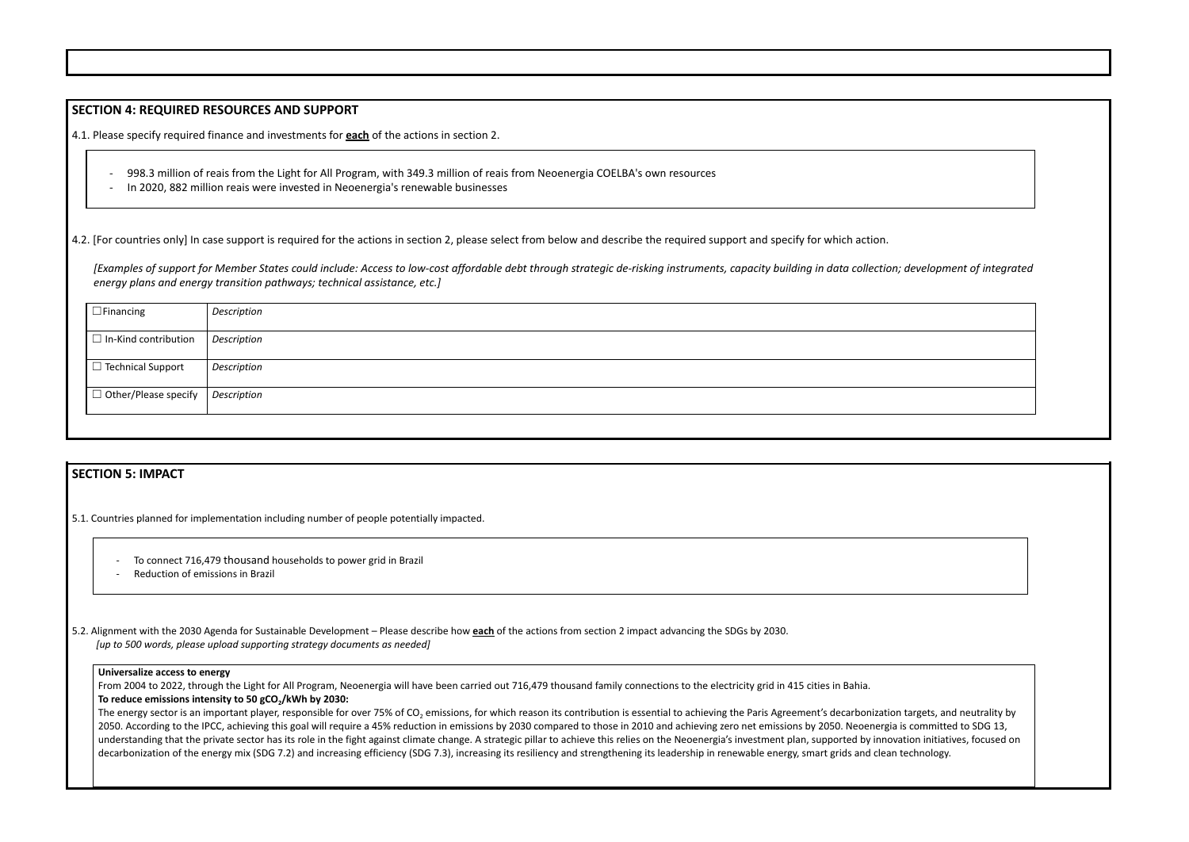### **SECTION 4: REQUIRED RESOURCES AND SUPPORT**

4.1. Please specify required finance and investments for **each** of the actions in section 2.

- 998.3 million of reais from the Light for All Program, with 349.3 million of reais from Neoenergia COELBA's own resources
- In 2020, 882 million reais were invested in Neoenergia's renewable businesses

4.2. [For countries only] In case support is required for the actions in section 2, please select from below and describe the required support and specify for which action.

- To connect 716,479 thousand households to power grid in Brazil
- Reduction of emissions in Brazil

*[Examples of support for Member States could include: Access to low-cost affordable debt through strategic de-risking instruments, capacity building in data collection; development of integrated energy plans and energy transition pathways; technical assistance, etc.]*

From 2004 to 2022, through the Light for All Program, Neoenergia will have been carried out 716,479 thousand family connections to the electricity grid in 415 cities in Bahia. **To reduce emissions intensity to 50 gCO2/kWh by 2030:**

| $\Box$ Financing            | Description        |
|-----------------------------|--------------------|
| $\Box$ In-Kind contribution | <b>Description</b> |
| $\Box$ Technical Support    | Description        |
| $\Box$ Other/Please specify | <b>Description</b> |
|                             |                    |

# **SECTION 5: IMPACT**

5.1. Countries planned for implementation including number of people potentially impacted.

The energy sector is an important player, responsible for over 75% of CO<sub>2</sub> emissions, for which reason its contribution is essential to achieving the Paris Agreement's decarbonization targets, and neutrality by 2050. According to the IPCC, achieving this goal will require a 45% reduction in emissions by 2030 compared to those in 2010 and achieving zero net emissions by 2050. Neoenergia is committed to SDG 13, understanding that the private sector has its role in the fight against climate change. A strategic pillar to achieve this relies on the Neoenergia's investment plan, supported by innovation initiatives, focused on decarbonization of the energy mix (SDG 7.2) and increasing efficiency (SDG 7.3), increasing its resiliency and strengthening its leadership in renewable energy, smart grids and clean technology.



5.2. Alignment with the 2030 Agenda for Sustainable Development – Please describe how **each** of the actions from section 2 impact advancing the SDGs by 2030. *[up to 500 words, please upload supporting strategy documents as needed]*

#### **Universalize access to energy**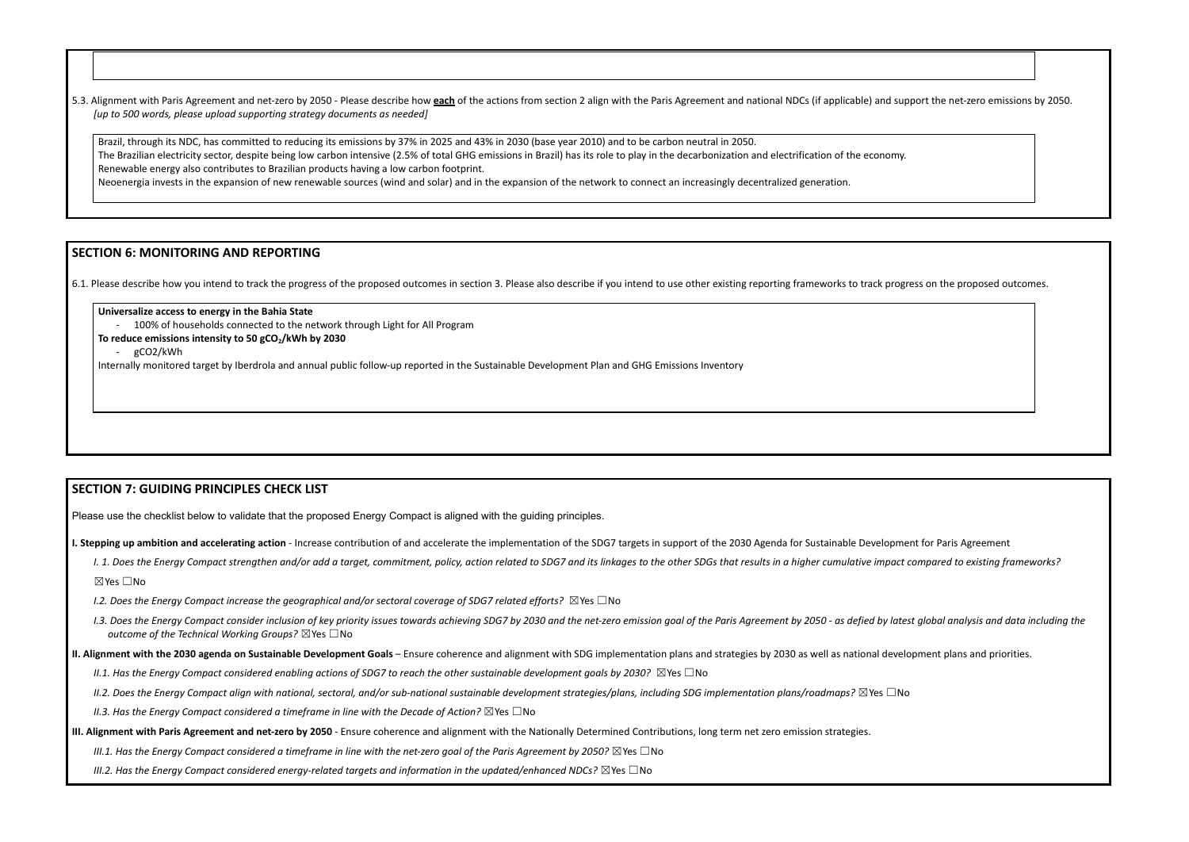5.3. Alignment with Paris Agreement and net-zero by 2050 - Please describe how each of the actions from section 2 align with the Paris Agreement and national NDCs (if applicable) and support the net-zero emissions by 2050. *[up to 500 words, please upload supporting strategy documents as needed]*

Brazil, through its NDC, has committed to reducing its emissions by 37% in 2025 and 43% in 2030 (base year 2010) and to be carbon neutral in 2050. The Brazilian electricity sector, despite being low carbon intensive (2.5% of total GHG emissions in Brazil) has its role to play in the decarbonization and electrification of the economy. Renewable energy also contributes to Brazilian products having a low carbon footprint. Neoenergia invests in the expansion of new renewable sources (wind and solar) and in the expansion of the network to connect an increasingly decentralized generation.

# **SECTION 6: MONITORING AND REPORTING**

6.1. Please describe how you intend to track the progress of the proposed outcomes in section 3. Please also describe if you intend to use other existing reporting frameworks to track progress on the proposed outcomes.

**Universalize access to energy in the Bahia State**

100% of households connected to the network through Light for All Program

**To reduce emissions intensity to 50 gCO2/kWh by 2030**

- gCO2/kWh

Internally monitored target by Iberdrola and annual public follow-up reported in the Sustainable Development Plan and GHG Emissions Inventory

# **SECTION 7: GUIDING PRINCIPLES CHECK LIST**

Please use the checklist below to validate that the proposed Energy Compact is aligned with the guiding principles.

I. Stepping up ambition and accelerating action - Increase contribution of and accelerate the implementation of the SDG7 targets in support of the 2030 Agenda for Sustainable Development for Paris Agreement

- I. 1. Does the Energy Compact strengthen and/or add a target, commitment, policy, action related to SDG7 and its linkages to the other SDGs that results in a higher cumulative impact compared to existing frameworks? ☒Yes ☐No
- *I.2. Does the Energy Compact increase the geographical and/or sectoral coverage of SDG7 related efforts?* ☒Yes ☐No
- 1.3. Does the Energy Compact consider inclusion of key priority issues towards achieving SDG7 by 2030 and the net-zero emission goal of the Paris Agreement by 2050 as defied by latest global analysis and data including t *outcome of the Technical Working Groups?* ☒Yes ☐No
- II. Alignment with the 2030 agenda on Sustainable Development Goals Ensure coherence and alignment with SDG implementation plans and strategies by 2030 as well as national development plans and priorities.
	- II.1. Has the Enerav Compact considered enablina actions of SDG7 to reach the other sustainable development aoals by 2030?  $\boxtimes$  Yes  $\Box$  No
	- II.2. Does the Energy Compact align with national, sectoral, and/or sub-national sustainable development strategies/plans, including SDG implementation plans/roadmaps?  $\boxtimes$  Yes  $\Box$  No

- III. Alignment with Paris Agreement and net-zero by 2050 Ensure coherence and alignment with the Nationally Determined Contributions, long term net zero emission strategies.
	- III.1. Has the Enerav Compact considered a timeframe in line with the net-zero aoal of the Paris Aareement by 2050?  $\boxtimes$  Yes  $\Box$  No
	- *III.2. Has the Energy Compact considered energy-related targets and information in the updated/enhanced NDCs?* ☒Yes ☐No

*II.3. Has the Energy Compact considered a timeframe in line with the Decade of Action?* ☒Yes ☐No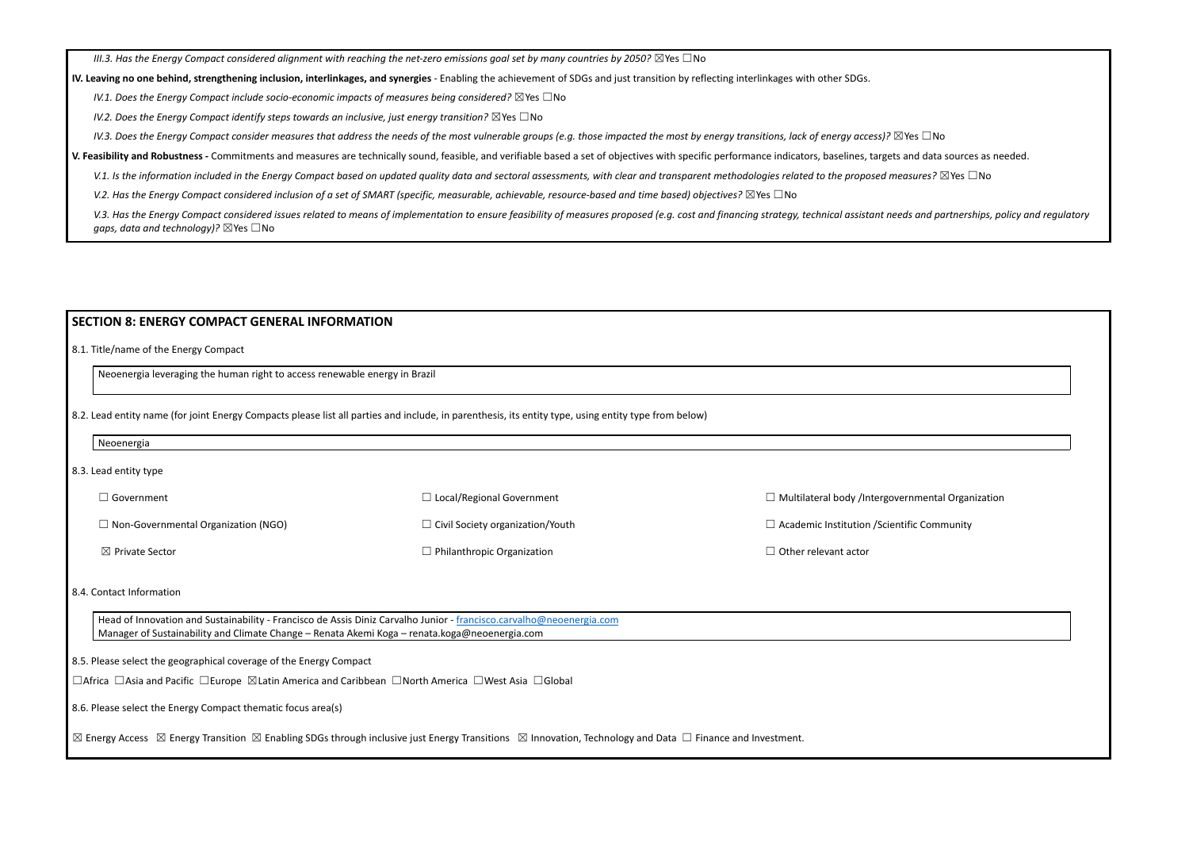III.3. Has the Energy Compact considered alignment with reaching the net-zero emissions goal set by many countries by 2050?  $\boxtimes$  Yes  $\Box$  No

IV. Leaving no one behind, strengthening inclusion, interlinkages, and synergies - Enabling the achievement of SDGs and just transition by reflecting interlinkages with other SDGs.

*IV.1. Does the Energy Compact include socio-economic impacts of measures being considered?* ☒Yes ☐No

*IV.2. Does the Energy Compact identify steps towards an inclusive, just energy transition?* ☒Yes ☐No

IV.3. Does the Energy Compact consider measures that address the needs of the most vulnerable groups (e.g. those impacted the most by energy transitions, lack of energy access)?  $\boxtimes$  Yes  $\Box$  No

V. Feasibility and Robustness - Commitments and measures are technically sound, feasible, and verifiable based a set of objectives with specific performance indicators, baselines, targets and data sources as needed.

V.1. Is the information included in the Energy Compact based on updated quality data and sectoral assessments, with clear and transparent methodologies related to the proposed measures?  $\boxtimes$  Yes  $\Box$  No

V.2. Has the Energy Compact considered inclusion of a set of SMART (specific, measurable, achievable, resource-based and time based) objectives?  $\boxtimes$  Yes  $\Box$  No

V.3. Has the Energy Compact considered issues related to means of implementation to ensure feasibility of measures proposed (e.g. cost and financing strategy, technical assistant needs and partnerships, policy and regulato *gaps, data and technology)?* ⊠Yes □No

| Neoenergia                                 |                                         |                                       |  |
|--------------------------------------------|-----------------------------------------|---------------------------------------|--|
| 8.3. Lead entity type                      |                                         |                                       |  |
| ] Government                               | $\Box$ Local/Regional Government        | □ Multilateral body /Intergover       |  |
| $\Box$ Non-Governmental Organization (NGO) | $\Box$ Civil Society organization/Youth | $\Box$ Academic Institution / Scienti |  |
| $\boxtimes$ Private Sector                 | $\Box$ Philanthropic Organization       | $\Box$ Other relevant actor           |  |

#### **SECTION 8: ENERGY COMPACT GENERAL INFORMATION**

8.1. Title/name of the Energy Compact

Neoenergia leveraging the human right to access renewable energy in Brazil

8.2. Lead entity name (for joint Energy Compacts please list all parties and include, in parenthesis, its entity type, using entity type from below)

8.4. Contact Information

Head of Innovation and Sustainability - Francisco de Assis Diniz Carvalho Junior - [francisco.carvalho@neoenergia.com](mailto:francisco.carvalho@neoenergia.com) Manager of Sustainability and Climate Change – Renata Akemi Koga – renata.koga@neoenergia.com

8.5. Please select the geographical coverage of the Energy Compact

☐Africa ☐Asia and Pacific ☐Europe ☒Latin America and Caribbean ☐North America ☐West Asia ☐Global

8.6. Please select the Energy Compact thematic focus area(s)

☒ Energy Access ☒ Energy Transition ☒ Enabling SDGs through inclusive just Energy Transitions ☒ Innovation, Technology and Data ☐ Finance and Investment.

Irnmental Organization ific Community